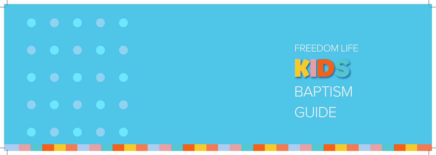# FREEDOM LIFEKDS

# BAPTISM **GUIDE**